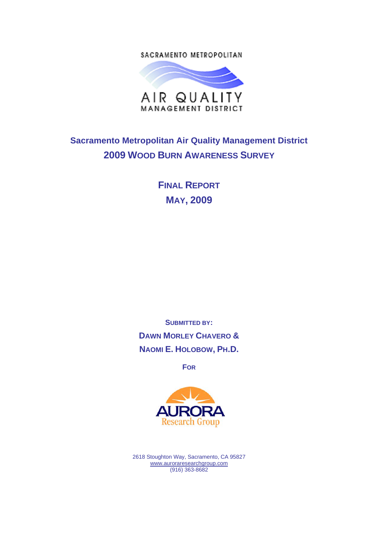SACRAMENTO METROPOLITAN



## **Sacramento Metropolitan Air Quality Management District 2009 WOOD BURN AWARENESS SURVEY**

**FINAL REPORT MAY, 2009**

**SUBMITTED BY: DAWN MORLEY CHAVERO & NAOMI E. HOLOBOW, PH.D.**

**FOR**



2618 Stoughton Way, Sacramento, CA 95827 www.auroraresearchgroup.com (916) 363-8682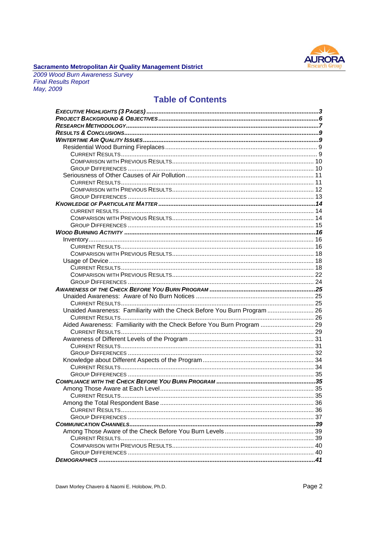

## **Sacramento Metropolitan Air Quality Management District**<br>2009 Wood Burn Awareness Survey

**Final Results Report** May, 2009

### **Table of Contents**

| Unaided Awareness: Familiarity with the Check Before You Burn Program  26 |  |
|---------------------------------------------------------------------------|--|
|                                                                           |  |
| Aided Awareness: Familiarity with the Check Before You Burn Program  29   |  |
|                                                                           |  |
|                                                                           |  |
|                                                                           |  |
|                                                                           |  |
|                                                                           |  |
|                                                                           |  |
|                                                                           |  |
|                                                                           |  |
|                                                                           |  |
| $\sim$ 35<br>Among Those Aware at Each Level.                             |  |
|                                                                           |  |
|                                                                           |  |
|                                                                           |  |
|                                                                           |  |
|                                                                           |  |
|                                                                           |  |
|                                                                           |  |
|                                                                           |  |
|                                                                           |  |
|                                                                           |  |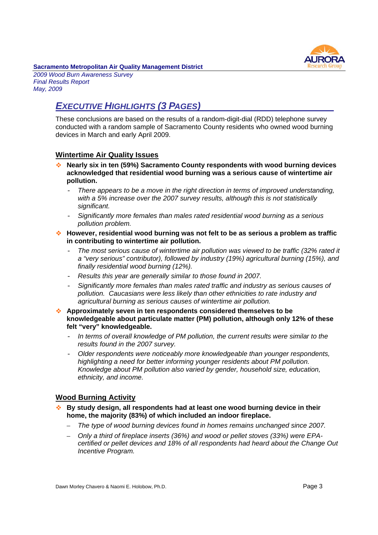

*2009 Wood Burn Awareness Survey Final Results Report May, 2009*

## *EXECUTIVE HIGHLIGHTS (3 PAGES)*

These conclusions are based on the results of a random-digit-dial (RDD) telephone survey conducted with a random sample of Sacramento County residents who owned wood burning devices in March and early April 2009.

#### **Wintertime Air Quality Issues**

- **Nearly six in ten (59%) Sacramento County respondents with wood burning devices acknowledged that residential wood burning was a serious cause of wintertime air pollution.**
	- *There appears to be a move in the right direction in terms of improved understanding, with a 5% increase over the 2007 survey results, although this is not statistically significant.*
	- *Significantly more females than males rated residential wood burning as a serious pollution problem.*
- **However, residential wood burning was not felt to be as serious a problem as traffic in contributing to wintertime air pollution.**
	- *The most serious cause of wintertime air pollution was viewed to be traffic (32% rated it a "very serious" contributor), followed by industry (19%) agricultural burning (15%), and finally residential wood burning (12%).*
	- *Results this year are generally similar to those found in 2007.*
	- *Significantly more females than males rated traffic and industry as serious causes of pollution. Caucasians were less likely than other ethnicities to rate industry and agricultural burning as serious causes of wintertime air pollution.*
- **Approximately seven in ten respondents considered themselves to be knowledgeable about particulate matter (PM) pollution, although only 12% of these felt "very" knowledgeable.**
	- *In terms of overall knowledge of PM pollution, the current results were similar to the results found in the 2007 survey.*
	- *Older respondents were noticeably more knowledgeable than younger respondents, highlighting a need for better informing younger residents about PM pollution. Knowledge about PM pollution also varied by gender, household size, education, ethnicity, and income.*

#### **Wood Burning Activity**

- **By study design, all respondents had at least one wood burning device in their home, the majority (83%) of which included an indoor fireplace.**
	- *The type of wood burning devices found in homes remains unchanged since 2007.*
	- *Only a third of fireplace inserts (36%) and wood or pellet stoves (33%) were EPAcertified or pellet devices and 18% of all respondents had heard about the Change Out Incentive Program.*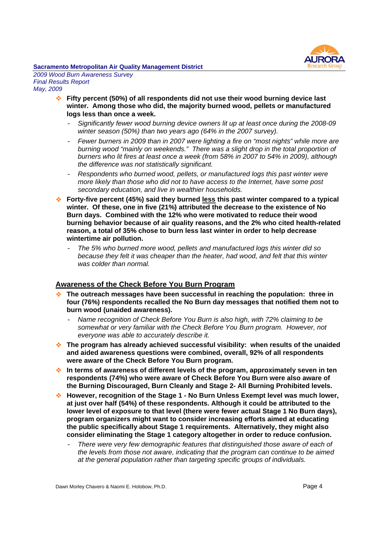

*2009 Wood Burn Awareness Survey Final Results Report May, 2009*

- **Fifty percent (50%) of all respondents did not use their wood burning device last winter. Among those who did, the majority burned wood, pellets or manufactured logs less than once a week.**
	- *Significantly fewer wood burning device owners lit up at least once during the 2008-09 winter season (50%) than two years ago (64% in the 2007 survey).*
	- *Fewer burners in 2009 than in 2007 were lighting a fire on "most nights" while more are burning wood "mainly on weekends." There was a slight drop in the total proportion of burners who lit fires at least once a week (from 58% in 2007 to 54% in 2009), although the difference was not statistically significant.*
	- *Respondents who burned wood, pellets, or manufactured logs this past winter were more likely than those who did not to have access to the Internet, have some post secondary education, and live in wealthier households.*
- **Forty-five percent (45%) said they burned less this past winter compared to a typical winter. Of these, one in five (21%) attributed the decrease to the existence of No Burn days. Combined with the 12% who were motivated to reduce their wood burning behavior because of air quality reasons, and the 2% who cited health-related reason, a total of 35% chose to burn less last winter in order to help decrease wintertime air pollution.**
	- *The 5% who burned more wood, pellets and manufactured logs this winter did so because they felt it was cheaper than the heater, had wood, and felt that this winter was colder than normal.*

#### **Awareness of the Check Before You Burn Program**

- **The outreach messages have been successful in reaching the population: three in four (76%) respondents recalled the No Burn day messages that notified them not to burn wood (unaided awareness).**
	- *Name recognition of Check Before You Burn is also high, with 72% claiming to be somewhat or very familiar with the Check Before You Burn program. However, not everyone was able to accurately describe it.*
- **The program has already achieved successful visibility: when results of the unaided and aided awareness questions were combined, overall, 92% of all respondents were aware of the Check Before You Burn program.**
- **In terms of awareness of different levels of the program, approximately seven in ten respondents (74%) who were aware of Check Before You Burn were also aware of the Burning Discouraged, Burn Cleanly and Stage 2- All Burning Prohibited levels.**
- **However, recognition of the Stage 1 No Burn Unless Exempt level was much lower, at just over half (54%) of these respondents. Although it could be attributed to the lower level of exposure to that level (there were fewer actual Stage 1 No Burn days), program organizers might want to consider increasing efforts aimed at educating the public specifically about Stage 1 requirements. Alternatively, they might also consider eliminating the Stage 1 category altogether in order to reduce confusion.**
	- There were very few demographic features that distinguished those aware of each of *the levels from those not aware, indicating that the program can continue to be aimed at the general population rather than targeting specific groups of individuals.*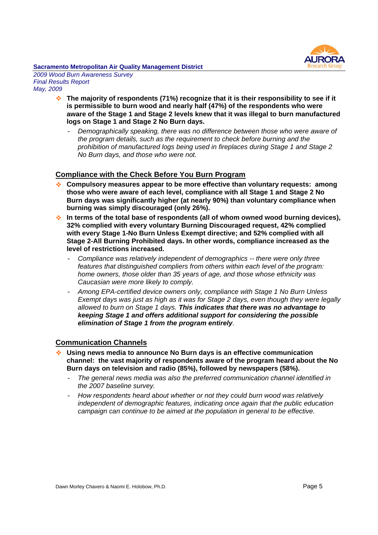

*2009 Wood Burn Awareness Survey Final Results Report May, 2009*

- **The majority of respondents (71%) recognize that it is their responsibility to see if it is permissible to burn wood and nearly half (47%) of the respondents who were aware of the Stage 1 and Stage 2 levels knew that it was illegal to burn manufactured logs on Stage 1 and Stage 2 No Burn days.**
	- *Demographically speaking, there was no difference between those who were aware of the program details, such as the requirement to check before burning and the prohibition of manufactured logs being used in fireplaces during Stage 1 and Stage 2 No Burn days, and those who were not.*

#### **Compliance with the Check Before You Burn Program**

- **Compulsory measures appear to be more effective than voluntary requests: among those who were aware of each level, compliance with all Stage 1 and Stage 2 No Burn days was significantly higher (at nearly 90%) than voluntary compliance when burning was simply discouraged (only 26%).**
- **In terms of the total base of respondents (all of whom owned wood burning devices), 32% complied with every voluntary Burning Discouraged request, 42% complied with every Stage 1-No Burn Unless Exempt directive; and 52% complied with all Stage 2-All Burning Prohibited days. In other words, compliance increased as the level of restrictions increased.**
	- *Compliance was relatively independent of demographics -- there were only three features that distinguished compliers from others within each level of the program: home owners, those older than 35 years of age, and those whose ethnicity was Caucasian were more likely to comply.*
	- *Among EPA-certified device owners only, compliance with Stage 1 No Burn Unless Exempt days was just as high as it was for Stage 2 days, even though they were legally allowed to burn on Stage 1 days. This indicates that there was no advantage to keeping Stage 1 and offers additional support for considering the possible elimination of Stage 1 from the program entirely.*

#### **Communication Channels**

- **Using news media to announce No Burn days is an effective communication channel: the vast majority of respondents aware of the program heard about the No Burn days on television and radio (85%), followed by newspapers (58%).**
	- *The general news media was also the preferred communication channel identified in the 2007 baseline survey.*
	- *How respondents heard about whether or not they could burn wood was relatively independent of demographic features, indicating once again that the public education campaign can continue to be aimed at the population in general to be effective.*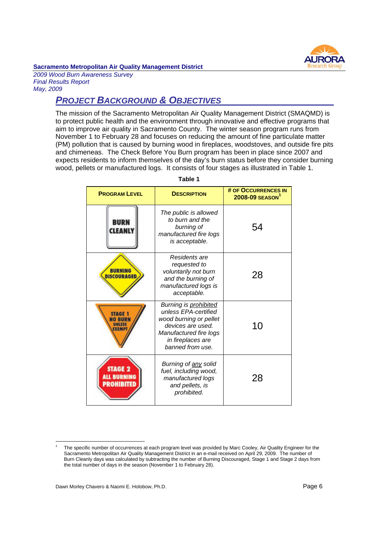

*2009 Wood Burn Awareness Survey Final Results Report May, 2009*

## *PROJECT BACKGROUND & OBJECTIVES*

The mission of the Sacramento Metropolitan Air Quality Management District (SMAQMD) is to protect public health and the environment through innovative and effective programs that aim to improve air quality in Sacramento County. The winter season program runs from November 1 to February 28 and focuses on reducing the amount of fine particulate matter (PM) pollution that is caused by burning wood in fireplaces, woodstoves, and outside fire pits and chimeneas. The Check Before You Burn program has been in place since 2007 and expects residents to inform themselves of the day's burn status before they consider burning wood, pellets or manufactured logs. It consists of four stages as illustrated in Table 1.

| <b>PROGRAM LEVEL</b>                           | <b>DESCRIPTION</b>                                                                                                                                              | # OF OCCURRENCES IN<br>$2008 - 09$ SEASON <sup>1</sup> |
|------------------------------------------------|-----------------------------------------------------------------------------------------------------------------------------------------------------------------|--------------------------------------------------------|
| <b>BURN</b><br>CLEANL                          | The public is allowed<br>to burn and the<br>burning of<br>manufactured fire logs<br>is acceptable.                                                              | 54                                                     |
| <b>BURNING</b><br><b>DISCOURAGED</b>           | Residents are<br>requested to<br>voluntarily not burn<br>and the burning of<br>manufactured logs is<br>acceptable.                                              | 28                                                     |
| STAGE                                          | Burning is prohibited<br>unless EPA-certified<br>wood burning or pellet<br>devices are used.<br>Manufactured fire logs<br>in fireplaces are<br>banned from use. | 10                                                     |
| <b>STAGE 2</b><br><b>BURNING</b><br>PROHIBITED | Burning of any solid<br>fuel, including wood,<br>manufactured logs<br>and pellets, is<br>prohibited.                                                            | 28                                                     |

**Table 1**

<sup>1</sup> The specific number of occurrences at each program level was provided by Marc Cooley, Air Quality Engineer for the Sacramento Metropolitan Air Quality Management District in an e-mail received on April 29, 2009. The number of Burn Cleanly days was calculated by subtracting the number of Burning Discouraged, Stage 1 and Stage 2 days from the total number of days in the season (November 1 to February 28).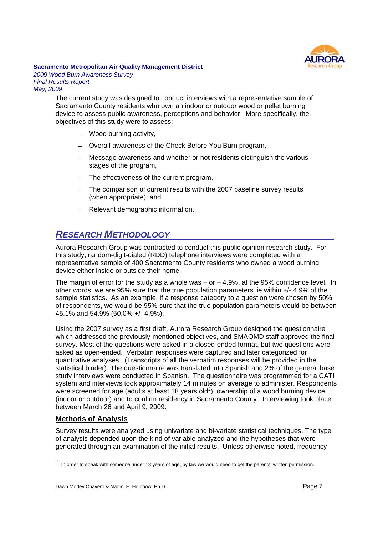

*2009 Wood Burn Awareness Survey Final Results Report May, 2009*

> The current study was designed to conduct interviews with a representative sample of Sacramento County residents who own an indoor or outdoor wood or pellet burning device to assess public awareness, perceptions and behavior. More specifically, the objectives of this study were to assess:

- Wood burning activity,
- Overall awareness of the Check Before You Burn program,
- Message awareness and whether or not residents distinguish the various stages of the program,
- The effectiveness of the current program,
- The comparison of current results with the 2007 baseline survey results (when appropriate), and
- Relevant demographic information.

## *RESEARCH METHODOLOGY*

Aurora Research Group was contracted to conduct this public opinion research study. For this study, random-digit-dialed (RDD) telephone interviews were completed with a representative sample of 400 Sacramento County residents who owned a wood burning device either inside or outside their home.

The margin of error for the study as a whole was  $+$  or  $-$  4.9%, at the 95% confidence level. In other words, we are 95% sure that the true population parameters lie within +/- 4.9% of the sample statistics. As an example, if a response category to a question were chosen by 50% of respondents, we would be 95% sure that the true population parameters would be between 45.1% and 54.9% (50.0% +/- 4.9%).

Using the 2007 survey as a first draft, Aurora Research Group designed the questionnaire which addressed the previously-mentioned objectives, and SMAQMD staff approved the final survey. Most of the questions were asked in a closed-ended format, but two questions were asked as open-ended. Verbatim responses were captured and later categorized for quantitative analyses. (Transcripts of all the verbatim responses will be provided in the statistical binder). The questionnaire was translated into Spanish and 2% of the general base study interviews were conducted in Spanish. The questionnaire was programmed for a CATI system and interviews took approximately 14 minutes on average to administer. Respondents were screened for age (adults at least 18 years old<sup>2</sup>), ownership of a wood burning device (indoor or outdoor) and to confirm residency in Sacramento County. Interviewing took place between March 26 and April 9, 2009.

#### **Methods of Analysis**

Survey results were analyzed using univariate and bi-variate statistical techniques. The type of analysis depended upon the kind of variable analyzed and the hypotheses that were generated through an examination of the initial results. Unless otherwise noted, frequency

 $2$  In order to speak with someone under 18 years of age, by law we would need to get the parents' written permission.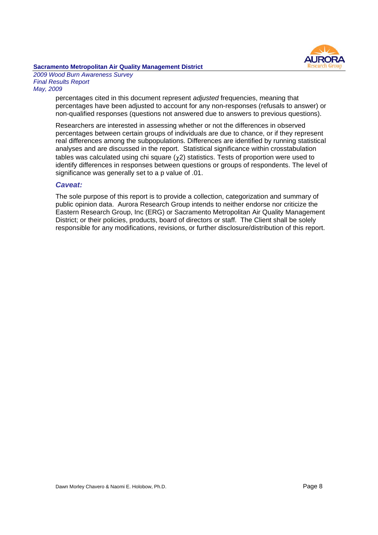

*2009 Wood Burn Awareness Survey Final Results Report May, 2009*

> percentages cited in this document represent *adjusted* frequencies, meaning that percentages have been adjusted to account for any non-responses (refusals to answer) or non-qualified responses (questions not answered due to answers to previous questions).

> Researchers are interested in assessing whether or not the differences in observed percentages between certain groups of individuals are due to chance, or if they represent real differences among the subpopulations. Differences are identified by running statistical analyses and are discussed in the report. Statistical significance within crosstabulation tables was calculated using chi square  $(\chi 2)$  statistics. Tests of proportion were used to identify differences in responses between questions or groups of respondents. The level of significance was generally set to a p value of .01.

#### *Caveat:*

The sole purpose of this report is to provide a collection, categorization and summary of public opinion data. Aurora Research Group intends to neither endorse nor criticize the Eastern Research Group, Inc (ERG) or Sacramento Metropolitan Air Quality Management District; or their policies, products, board of directors or staff. The Client shall be solely responsible for any modifications, revisions, or further disclosure/distribution of this report.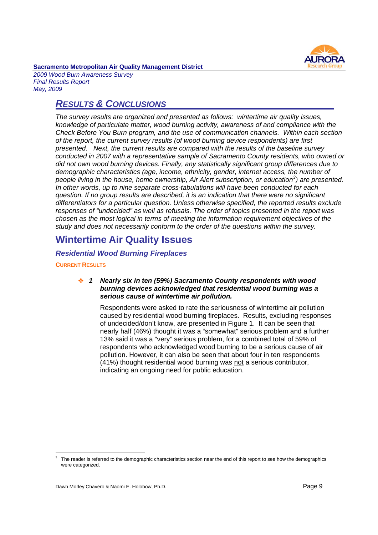

*2009 Wood Burn Awareness Survey Final Results Report May, 2009*

### *RESULTS & CONCLUSIONS*

*The survey results are organized and presented as follows: wintertime air quality issues, knowledge of particulate matter, wood burning activity, awareness of and compliance with the Check Before You Burn program, and the use of communication channels. Within each section of the report, the current survey results (of wood burning device respondents) are first presented. Next, the current results are compared with the results of the baseline survey conducted in 2007 with a representative sample of Sacramento County residents, who owned or did not own wood burning devices. Finally, any statistically significant group differences due to demographic characteristics (age, income, ethnicity, gender, internet access, the number of people living in the house, home ownership, Air Alert subscription, or education<sup>3</sup> ) are presented. In other words, up to nine separate cross-tabulations will have been conducted for each question. If no group results are described, it is an indication that there were no significant differentiators for a particular question. Unless otherwise specified, the reported results exclude responses of "undecided" as well as refusals. The order of topics presented in the report was chosen as the most logical in terms of meeting the information requirement objectives of the study and does not necessarily conform to the order of the questions within the survey.*

## **Wintertime Air Quality Issues**

#### *Residential Wood Burning Fireplaces*

#### **CURRENT RESULTS**

#### *1 Nearly six in ten (59%) Sacramento County respondents with wood burning devices acknowledged that residential wood burning was a serious cause of wintertime air pollution.*

Respondents were asked to rate the seriousness of wintertime air pollution caused by residential wood burning fireplaces. Results, excluding responses of undecided/don't know, are presented in Figure 1. It can be seen that nearly half (46%) thought it was a "somewhat" serious problem and a further 13% said it was a "very" serious problem, for a combined total of 59% of respondents who acknowledged wood burning to be a serious cause of air pollution. However, it can also be seen that about four in ten respondents (41%) thought residential wood burning was not a serious contributor, indicating an ongoing need for public education.

<sup>3</sup> The reader is referred to the demographic characteristics section near the end of this report to see how the demographics were categorized.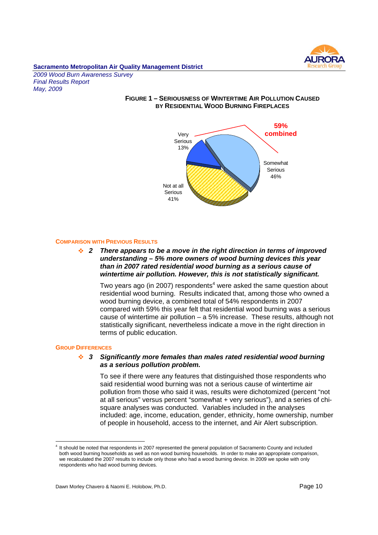

*2009 Wood Burn Awareness Survey Final Results Report May, 2009*

#### **FIGURE 1 – SERIOUSNESS OF WINTERTIME AIR POLLUTION CAUSED BY RESIDENTIAL WOOD BURNING FIREPLACES**



#### **COMPARISON WITH PREVIOUS RESULTS**

#### *2 There appears to be a move in the right direction in terms of improved understanding – 5% more owners of wood burning devices this year than in 2007 rated residential wood burning as a serious cause of wintertime air pollution. However, this is not statistically significant.*

Two years ago (in 2007) respondents<sup>4</sup> were asked the same question about residential wood burning. Results indicated that, among those who owned a wood burning device, a combined total of 54% respondents in 2007 compared with 59% this year felt that residential wood burning was a serious cause of wintertime air pollution – a 5% increase. These results, although not statistically significant, nevertheless indicate a move in the right direction in terms of public education.

#### **GROUP DIFFERENCES**

#### *3 Significantly more females than males rated residential wood burning as a serious pollution problem.*

To see if there were any features that distinguished those respondents who said residential wood burning was not a serious cause of wintertime air pollution from those who said it was, results were dichotomized (percent "not at all serious" versus percent "somewhat + very serious"), and a series of chisquare analyses was conducted. Variables included in the analyses included: age, income, education, gender, ethnicity, home ownership, number of people in household, access to the internet, and Air Alert subscription.

<sup>4</sup> It should be noted that respondents in 2007 represented the general population of Sacramento County and included both wood burning households as well as non wood burning households. In order to make an appropriate comparison, we recalculated the 2007 results to include only those who had a wood burning device. In 2009 we spoke with only respondents who had wood burning devices.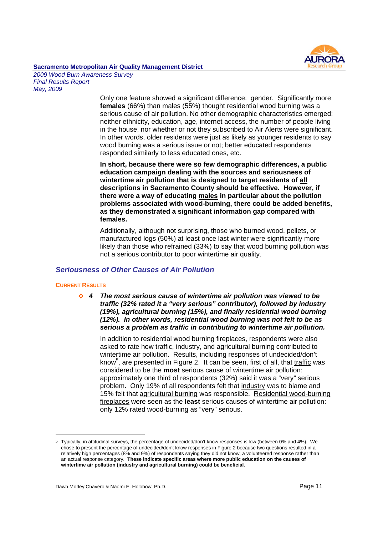# AI IROF

#### **Sacramento Metropolitan Air Quality Management District** *2009 Wood Burn Awareness Survey*

*Final Results Report May, 2009*

> Only one feature showed a significant difference: gender. Significantly more **females** (66%) than males (55%) thought residential wood burning was a serious cause of air pollution. No other demographic characteristics emerged: neither ethnicity, education, age, internet access, the number of people living in the house, nor whether or not they subscribed to Air Alerts were significant. In other words, older residents were just as likely as younger residents to say wood burning was a serious issue or not; better educated respondents responded similarly to less educated ones, etc.

> **In short, because there were so few demographic differences, a public education campaign dealing with the sources and seriousness of wintertime air pollution that is designed to target residents of all descriptions in Sacramento County should be effective. However, if there were a way of educating males in particular about the pollution problems associated with wood-burning, there could be added benefits, as they demonstrated a significant information gap compared with females.**

Additionally, although not surprising, those who burned wood, pellets, or manufactured logs (50%) at least once last winter were significantly more likely than those who refrained (33%) to say that wood burning pollution was not a serious contributor to poor wintertime air quality.

#### *Seriousness of Other Causes of Air Pollution*

#### **CURRENT RESULTS**

*4 The most serious cause of wintertime air pollution was viewed to be traffic (32% rated it a "very serious" contributor), followed by industry (19%), agricultural burning (15%), and finally residential wood burning (12%). In other words, residential wood burning was not felt to be as serious a problem as traffic in contributing to wintertime air pollution.*

In addition to residential wood burning fireplaces, respondents were also asked to rate how traffic, industry, and agricultural burning contributed to wintertime air pollution. Results, including responses of undecided/don't know<sup>5</sup>, are presented in Figure 2. It can be seen, first of all, that traffic was considered to be the **most** serious cause of wintertime air pollution: approximately one third of respondents (32%) said it was a "very" serious problem. Only 19% of all respondents felt that industry was to blame and 15% felt that agricultural burning was responsible. Residential wood-burning fireplaces were seen as the **least** serious causes of wintertime air pollution: only 12% rated wood-burning as "very" serious.

<sup>5</sup> Typically, in attitudinal surveys, the percentage of undecided/don't know responses is low (between 0% and 4%). We chose to present the percentage of undecided/don't know responses in Figure 2 because two questions resulted in a relatively high percentages (8% and 9%) of respondents saying they did not know, a volunteered response rather than an actual response category. **These indicate specific areas where more public education on the causes of wintertime air pollution (industry and agricultural burning) could be beneficial.**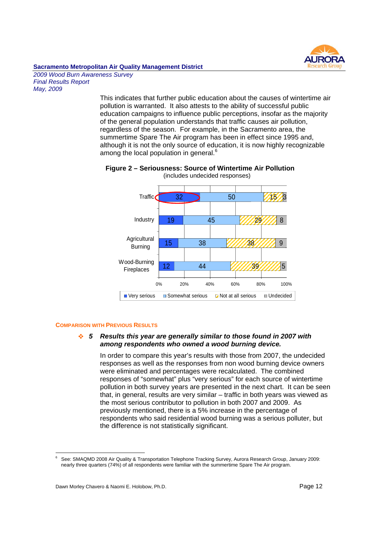

#### **Sacramento Metropolitan Air Quality Management District** *2009 Wood Burn Awareness Survey*

*Final Results Report May, 2009*

> This indicates that further public education about the causes of wintertime air pollution is warranted. It also attests to the ability of successful public education campaigns to influence public perceptions, insofar as the majority of the general population understands that traffic causes air pollution, regardless of the season. For example, in the Sacramento area, the summertime Spare The Air program has been in effect since 1995 and, although it is not the only source of education, it is now highly recognizable among the local population in general.<sup>6</sup>



#### **Figure 2 – Seriousness: Source of Wintertime Air Pollution** (includes undecided responses)

#### **COMPARISON WITH PREVIOUS RESULTS**

#### *5 Results this year are generally similar to those found in 2007 with among respondents who owned a wood burning device.*

In order to compare this year's results with those from 2007, the undecided responses as well as the responses from non wood burning device owners were eliminated and percentages were recalculated. The combined responses of "somewhat" plus "very serious" for each source of wintertime pollution in both survey years are presented in the next chart. It can be seen that, in general, results are very similar – traffic in both years was viewed as the most serious contributor to pollution in both 2007 and 2009. As previously mentioned, there is a 5% increase in the percentage of respondents who said residential wood burning was a serious polluter, but the difference is not statistically significant.

<sup>6</sup> See: SMAQMD 2008 Air Quality & Transportation Telephone Tracking Survey, Aurora Research Group, January 2009: nearly three quarters (74%) of all respondents were familiar with the summertime Spare The Air program.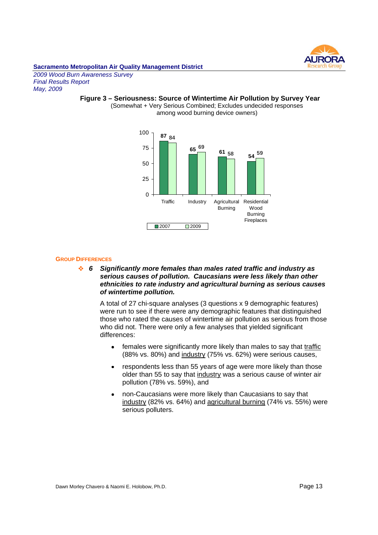

*2009 Wood Burn Awareness Survey Final Results Report May, 2009*

## **Figure 3 – Seriousness: Source of Wintertime Air Pollution by Survey Year**

(Somewhat + Very Serious Combined; Excludes undecided responses among wood burning device owners)



#### **GROUP DIFFERENCES**

*6 Significantly more females than males rated traffic and industry as serious causes of pollution. Caucasians were less likely than other ethnicities to rate industry and agricultural burning as serious causes of wintertime pollution.*

A total of 27 chi-square analyses (3 questions x 9 demographic features) were run to see if there were any demographic features that distinguished those who rated the causes of wintertime air pollution as serious from those who did not. There were only a few analyses that yielded significant differences:

- females were significantly more likely than males to say that traffic  $\bullet$ (88% vs. 80%) and industry (75% vs. 62%) were serious causes,
- respondents less than 55 years of age were more likely than those older than 55 to say that industry was a serious cause of winter air pollution (78% vs. 59%), and
- non-Caucasians were more likely than Caucasians to say that industry (82% vs. 64%) and agricultural burning (74% vs. 55%) were serious polluters.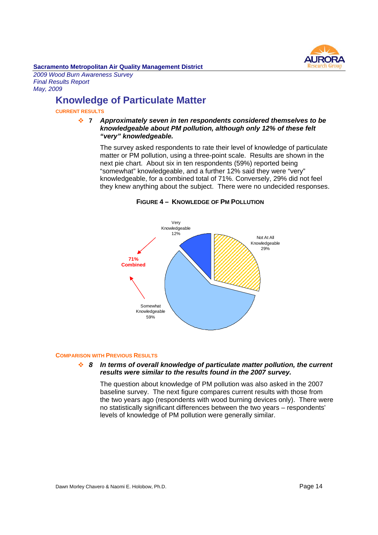

*2009 Wood Burn Awareness Survey Final Results Report May, 2009*

## **Knowledge of Particulate Matter**

#### **CURRENT RESULTS**

#### **7** *Approximately seven in ten respondents considered themselves to be knowledgeable about PM pollution, although only 12% of these felt "very" knowledgeable.*

The survey asked respondents to rate their level of knowledge of particulate matter or PM pollution, using a three-point scale. Results are shown in the next pie chart. About six in ten respondents (59%) reported being "somewhat" knowledgeable, and a further 12% said they were "very" knowledgeable, for a combined total of 71%. Conversely, 29% did not feel they knew anything about the subject. There were no undecided responses.



#### **FIGURE 4 – KNOWLEDGE OF PM POLLUTION**

#### **COMPARISON WITH PREVIOUS RESULTS**

#### *8 In terms of overall knowledge of particulate matter pollution, the current results were similar to the results found in the 2007 survey.*

The question about knowledge of PM pollution was also asked in the 2007 baseline survey. The next figure compares current results with those from the two years ago (respondents with wood burning devices only). There were no statistically significant differences between the two years – respondents' levels of knowledge of PM pollution were generally similar.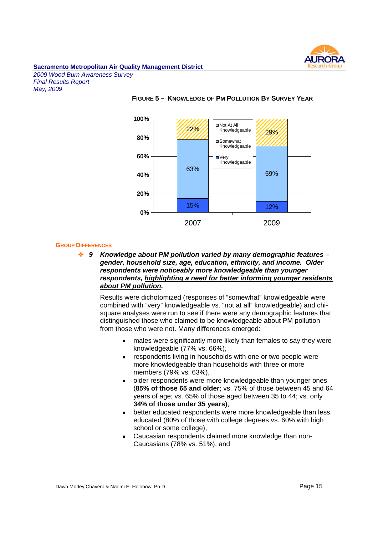

*2009 Wood Burn Awareness Survey Final Results Report May, 2009*



#### **FIGURE 5 – KNOWLEDGE OF PM POLLUTION BY SURVEY YEAR**

#### **GROUP DIFFERENCES**

*9 Knowledge about PM pollution varied by many demographic features – gender, household size, age, education, ethnicity, and income. Older respondents were noticeably more knowledgeable than younger respondents, highlighting a need for better informing younger residents about PM pollution.*

Results were dichotomized (responses of "somewhat" knowledgeable were combined with "very" knowledgeable vs. "not at all" knowledgeable) and chisquare analyses were run to see if there were any demographic features that distinguished those who claimed to be knowledgeable about PM pollution from those who were not. Many differences emerged:

- males were significantly more likely than females to say they were knowledgeable (77% vs. 66%),
- respondents living in households with one or two people were  $\bullet$ more knowledgeable than households with three or more members (79% vs. 63%),
- older respondents were more knowledgeable than younger ones (**85% of those 65 and older**; vs. 75% of those between 45 and 64 years of age; vs. 65% of those aged between 35 to 44; vs. only **34% of those under 35 years)**,
- better educated respondents were more knowledgeable than less educated (80% of those with college degrees vs. 60% with high school or some college),
- Caucasian respondents claimed more knowledge than non-Caucasians (78% vs. 51%), and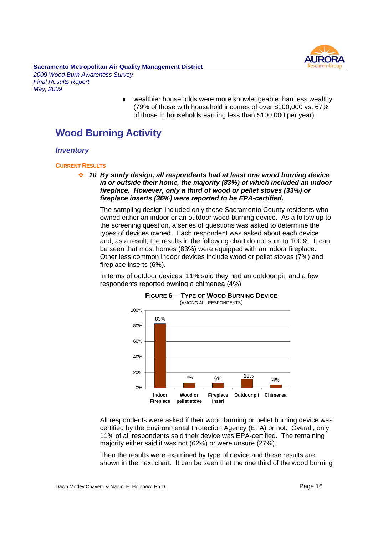

#### **Sacramento Metropolitan Air Quality Management District** *2009 Wood Burn Awareness Survey*

*Final Results Report May, 2009*

> wealthier households were more knowledgeable than less wealthy (79% of those with household incomes of over \$100,000 vs. 67% of those in households earning less than \$100,000 per year).

## **Wood Burning Activity**

#### *Inventory*

#### **CURRENT RESULTS**

*10 By study design, all respondents had at least one wood burning device in or outside their home, the majority (83%) of which included an indoor fireplace. However, only a third of wood or pellet stoves (33%) or fireplace inserts (36%) were reported to be EPA-certified.*

The sampling design included only those Sacramento County residents who owned either an indoor or an outdoor wood burning device. As a follow up to the screening question, a series of questions was asked to determine the types of devices owned. Each respondent was asked about each device and, as a result, the results in the following chart do not sum to 100%. It can be seen that most homes (83%) were equipped with an indoor fireplace. Other less common indoor devices include wood or pellet stoves (7%) and fireplace inserts (6%).

In terms of outdoor devices, 11% said they had an outdoor pit, and a few respondents reported owning a chimenea (4%).



## **FIGURE 6 – TYPE OF WOOD BURNING DEVICE**

All respondents were asked if their wood burning or pellet burning device was certified by the Environmental Protection Agency (EPA) or not. Overall, only 11% of all respondents said their device was EPA-certified. The remaining majority either said it was not (62%) or were unsure (27%).

Then the results were examined by type of device and these results are shown in the next chart. It can be seen that the one third of the wood burning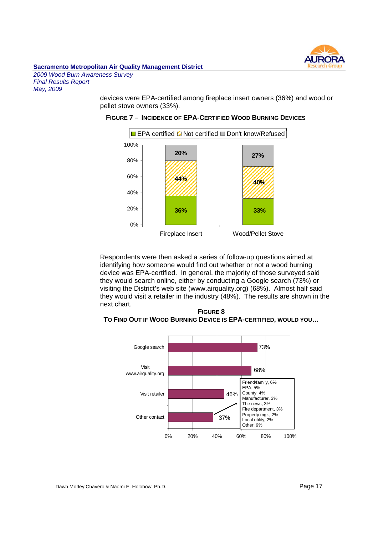

*2009 Wood Burn Awareness Survey Final Results Report May, 2009*

> devices were EPA-certified among fireplace insert owners (36%) and wood or pellet stove owners (33%).

#### **FIGURE 7 – INCIDENCE OF EPA-CERTIFIED WOOD BURNING DEVICES**



Respondents were then asked a series of follow-up questions aimed at identifying how someone would find out whether or not a wood burning device was EPA-certified. In general, the majority of those surveyed said they would search online, either by conducting a Google search (73%) or visiting the District's web site (www.airquality.org) (68%). Almost half said they would visit a retailer in the industry (48%). The results are shown in the next chart.

**FIGURE 8 TO FIND OUT IF WOOD BURNING DEVICE IS EPA-CERTIFIED, WOULD YOU…**



Dawn Morley Chavero & Naomi E. Holobow, Ph.D. example 20 years and the control of Page 17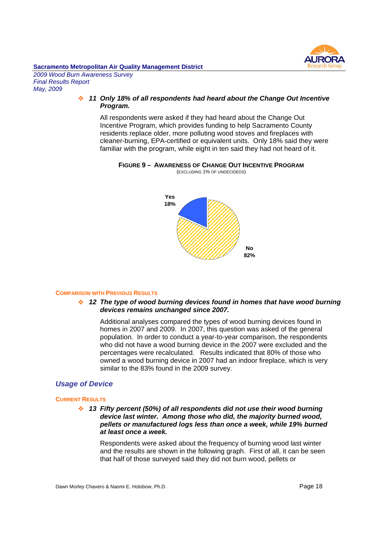

*2009 Wood Burn Awareness Survey Final Results Report May, 2009*

#### *11 Only 18% of all respondents had heard about the Change Out Incentive Program.*

All respondents were asked if they had heard about the Change Out Incentive Program, which provides funding to help Sacramento County residents replace older, more polluting wood stoves and fireplaces with cleaner-burning, EPA-certified or equivalent units. Only 18% said they were familiar with the program, while eight in ten said they had not heard of it.

#### **FIGURE 9 – AWARENESS OF CHANGE OUT INCENTIVE PROGRAM** (EXCLUDING 1% OF UNDECIDEDS)



#### **COMPARISON WITH PREVIOUS RESULTS**

#### *12 The type of wood burning devices found in homes that have wood burning devices remains unchanged since 2007.*

Additional analyses compared the types of wood burning devices found in homes in 2007 and 2009. In 2007, this question was asked of the general population. In order to conduct a year-to-year comparison, the respondents who did not have a wood burning device in the 2007 were excluded and the percentages were recalculated. Results indicated that 80% of those who owned a wood burning device in 2007 had an indoor fireplace, which is very similar to the 83% found in the 2009 survey.

#### *Usage of Device*

#### **CURRENT RESULTS**

*13 Fifty percent (50%) of all respondents did not use their wood burning device last winter. Among those who did, the majority burned wood, pellets or manufactured logs less than once a week, while 19% burned at least once a week.*

Respondents were asked about the frequency of burning wood last winter and the results are shown in the following graph. First of all, it can be seen that half of those surveyed said they did not burn wood, pellets or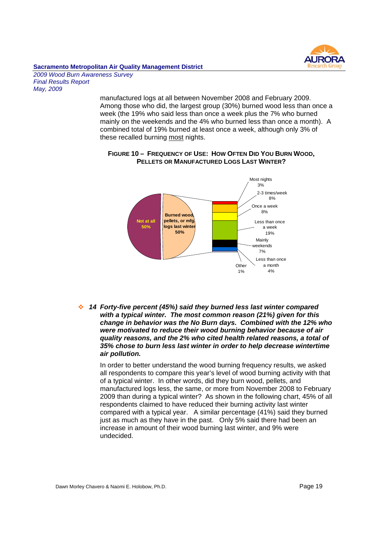

#### **Sacramento Metropolitan Air Quality Management District** *2009 Wood Burn Awareness Survey*

*Final Results Report May, 2009*

> manufactured logs at all between November 2008 and February 2009. Among those who did, the largest group (30%) burned wood less than once a week (the 19% who said less than once a week plus the 7% who burned mainly on the weekends and the 4% who burned less than once a month). A combined total of 19% burned at least once a week, although only 3% of these recalled burning most nights.



#### **FIGURE 10 – FREQUENCY OF USE: HOW OFTEN DID YOU BURN WOOD, PELLETS OR MANUFACTURED LOGS LAST WINTER?**

*14 Forty-five percent (45%) said they burned less last winter compared with a typical winter. The most common reason (21%) given for this change in behavior was the No Burn days. Combined with the 12% who were motivated to reduce their wood burning behavior because of air quality reasons, and the 2% who cited health related reasons, a total of 35% chose to burn less last winter in order to help decrease wintertime air pollution.*

In order to better understand the wood burning frequency results, we asked all respondents to compare this year's level of wood burning activity with that of a typical winter. In other words, did they burn wood, pellets, and manufactured logs less, the same, or more from November 2008 to February 2009 than during a typical winter? As shown in the following chart, 45% of all respondents claimed to have reduced their burning activity last winter compared with a typical year. A similar percentage (41%) said they burned just as much as they have in the past. Only 5% said there had been an increase in amount of their wood burning last winter, and 9% were undecided.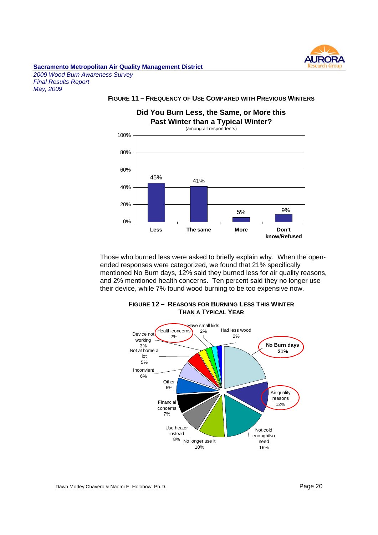

*2009 Wood Burn Awareness Survey Final Results Report May, 2009*

#### **FIGURE 11 – FREQUENCY OF USE COMPARED WITH PREVIOUS WINTERS**

#### **Did You Burn Less, the Same, or More this Past Winter than a Typical Winter?**



Those who burned less were asked to briefly explain why. When the openended responses were categorized, we found that 21% specifically mentioned No Burn days, 12% said they burned less for air quality reasons, and 2% mentioned health concerns. Ten percent said they no longer use their device, while 7% found wood burning to be too expensive now.



**FIGURE 12 – REASONS FOR BURNING LESS THIS WINTER THAN A TYPICAL YEAR**

Dawn Morley Chavero & Naomi E. Holobow, Ph.D. Page 20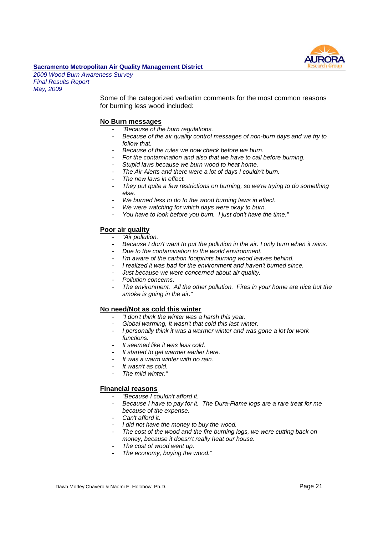

*2009 Wood Burn Awareness Survey Final Results Report May, 2009*

> Some of the categorized verbatim comments for the most common reasons for burning less wood included:

#### **No Burn messages**

- *"Because of the burn regulations.*
- *Because of the air quality control messages of non-burn days and we try to follow that.*
- *Because of the rules we now check before we burn.*
- *For the contamination and also that we have to call before burning.*
- *Stupid laws because we burn wood to heat home.*
- *The Air Alerts and there were a lot of days I couldn't burn.*
- The new laws in effect.
- *They put quite a few restrictions on burning, so we're trying to do something else.*
- We burned less to do to the wood burning laws in effect.
- We were watching for which days were okay to burn.
- *You have to look before you burn. I just don't have the time."*

#### **Poor air quality**

- *"Air pollution.*
- *Because I don't want to put the pollution in the air. I only burn when it rains.*
- *Due to the contamination to the world environment.*
- *I'm aware of the carbon footprints burning wood leaves behind.*
- *I realized it was bad for the environment and haven't burned since.*
- *Just because we were concerned about air quality.*
- *Pollution concerns.*
- The environment. All the other pollution. Fires in your home are nice but the *smoke is going in the air."*

#### **No need/Not as cold this winter**

- *"I don't think the winter was a harsh this year.*
- *Global warming, It wasn't that cold this last winter.*
- *I personally think it was a warmer winter and was gone a lot for work functions.*
- *It seemed like it was less cold.*
- *It started to get warmer earlier here.*
- *It was a warm winter with no rain.*
- *It wasn't as cold.*
- *The mild winter."*

#### **Financial reasons**

- *"Because I couldn't afford it.*
- *Because I have to pay for it. The Dura-Flame logs are a rare treat for me because of the expense.*
- *Can't afford it.*
- *I did not have the money to buy the wood.*
- *The cost of the wood and the fire burning logs, we were cutting back on money, because it doesn't really heat our house.*
- *The cost of wood went up.*
- *The economy, buying the wood."*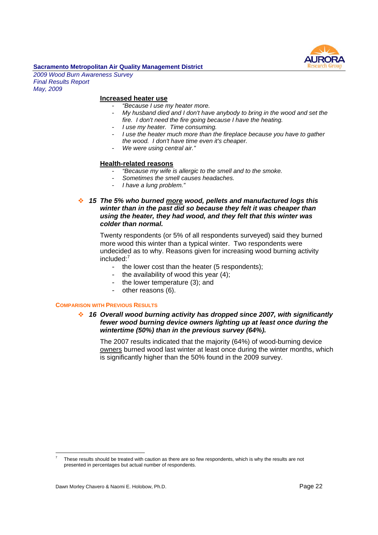

*2009 Wood Burn Awareness Survey Final Results Report May, 2009*

#### **Increased heater use**

- *"Because I use my heater more.*
- *My husband died and I don't have anybody to bring in the wood and set the fire. I don't need the fire going because I have the heating.*
- *I use my heater. Time consuming.*
- *I use the heater much more than the fireplace because you have to gather the wood. I don't have time even it's cheaper.*
- *We were using central air."*

#### **Health-related reasons**

- *"Because my wife is allergic to the smell and to the smoke.*
- *Sometimes the smell causes headaches.*
- *I have a lung problem."*
- *15 The 5% who burned more wood, pellets and manufactured logs this*  $\mathcal{L}_{\mathcal{F}}$ *winter than in the past did so because they felt it was cheaper than using the heater, they had wood, and they felt that this winter was colder than normal.*

Twenty respondents (or 5% of all respondents surveyed) said they burned more wood this winter than a typical winter. Two respondents were undecided as to why. Reasons given for increasing wood burning activity included:<sup>7</sup>

- the lower cost than the heater (5 respondents);
- the availability of wood this year (4);
- the lower temperature (3); and
- other reasons (6).

#### **COMPARISON WITH PREVIOUS RESULTS**

#### *16 Overall wood burning activity has dropped since 2007, with significantly fewer wood burning device owners lighting up at least once during the wintertime (50%) than in the previous survey (64%).*

The 2007 results indicated that the majority (64%) of wood-burning device owners burned wood last winter at least once during the winter months, which is significantly higher than the 50% found in the 2009 survey.

<sup>7</sup> These results should be treated with caution as there are so few respondents, which is why the results are not presented in percentages but actual number of respondents.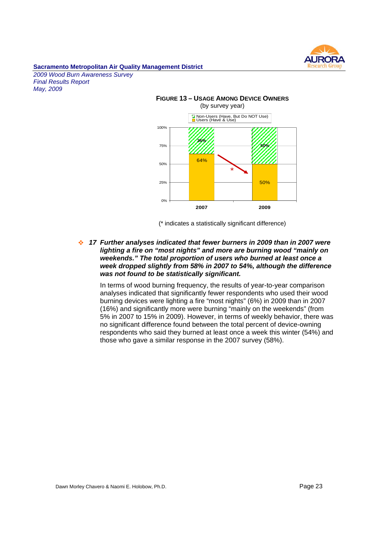

*2009 Wood Burn Awareness Survey Final Results Report May, 2009*



(\* indicates a statistically significant difference)

*17 Further analyses indicated that fewer burners in 2009 than in 2007 were*  $\mathcal{L}_{\mathcal{S}}$ *lighting a fire on "most nights" and more are burning wood "mainly on weekends." The total proportion of users who burned at least once a week dropped slightly from 58% in 2007 to 54%, although the difference was not found to be statistically significant.*

In terms of wood burning frequency, the results of year-to-year comparison analyses indicated that significantly fewer respondents who used their wood burning devices were lighting a fire "most nights" (6%) in 2009 than in 2007 (16%) and significantly more were burning "mainly on the weekends" (from 5% in 2007 to 15% in 2009). However, in terms of weekly behavior, there was no significant difference found between the total percent of device-owning respondents who said they burned at least once a week this winter (54%) and those who gave a similar response in the 2007 survey (58%).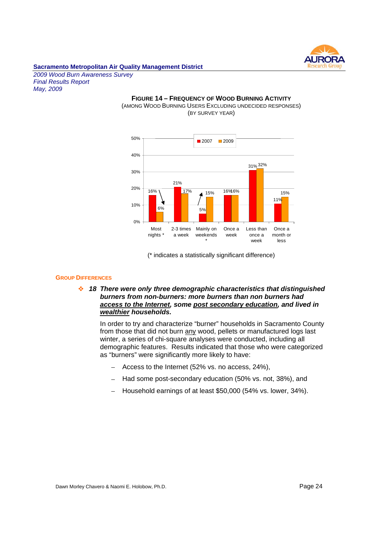

*2009 Wood Burn Awareness Survey Final Results Report May, 2009*

#### **FIGURE 14 – FREQUENCY OF WOOD BURNING ACTIVITY** (AMONG WOOD BURNING USERS EXCLUDING UNDECIDED RESPONSES) (BY SURVEY YEAR)



(\* indicates a statistically significant difference)

#### **GROUP DIFFERENCES**

*18 There were only three demographic characteristics that distinguished burners from non-burners: more burners than non burners had access to the Internet, some post secondary education, and lived in wealthier households.*

In order to try and characterize "burner" households in Sacramento County from those that did not burn any wood, pellets or manufactured logs last winter, a series of chi-square analyses were conducted, including all demographic features. Results indicated that those who were categorized as "burners" were significantly more likely to have:

- Access to the Internet (52% vs. no access, 24%),
- Had some post-secondary education (50% vs. not, 38%), and
- Household earnings of at least \$50,000 (54% vs. lower, 34%).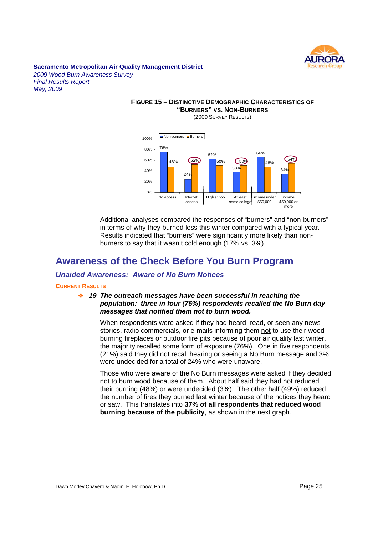

*2009 Wood Burn Awareness Survey Final Results Report May, 2009*

#### **FIGURE 15 – DISTINCTIVE DEMOGRAPHIC CHARACTERISTICS OF "BURNERS" VS. NON-BURNERS** (2009 SURVEY RESULTS)



Additional analyses compared the responses of "burners" and "non-burners" in terms of why they burned less this winter compared with a typical year. Results indicated that "burners" were significantly more likely than nonburners to say that it wasn't cold enough (17% vs. 3%).

## **Awareness of the Check Before You Burn Program**

#### *Unaided Awareness: Aware of No Burn Notices*

#### **CURRENT RESULTS**

#### *19 The outreach messages have been successful in reaching the population: three in four (76%) respondents recalled the No Burn day messages that notified them not to burn wood.*

When respondents were asked if they had heard, read, or seen any news stories, radio commercials, or e-mails informing them not to use their wood burning fireplaces or outdoor fire pits because of poor air quality last winter, the majority recalled some form of exposure (76%). One in five respondents (21%) said they did not recall hearing or seeing a No Burn message and 3% were undecided for a total of 24% who were unaware.

Those who were aware of the No Burn messages were asked if they decided not to burn wood because of them. About half said they had not reduced their burning (48%) or were undecided (3%). The other half (49%) reduced the number of fires they burned last winter because of the notices they heard or saw. This translates into **37% of all respondents that reduced wood burning because of the publicity**, as shown in the next graph.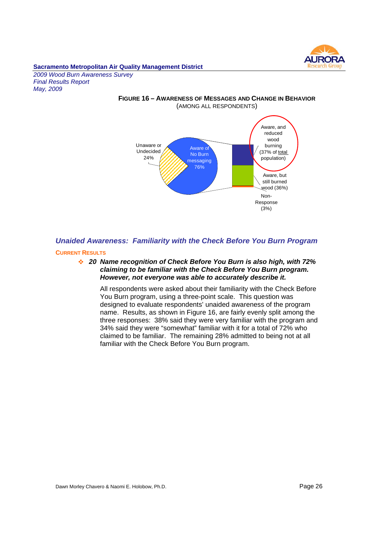

*2009 Wood Burn Awareness Survey Final Results Report May, 2009*



## *Unaided Awareness: Familiarity with the Check Before You Burn Program*

#### **CURRENT RESULTS**

#### *20 Name recognition of Check Before You Burn is also high, with 72% claiming to be familiar with the Check Before You Burn program. However, not everyone was able to accurately describe it.*

All respondents were asked about their familiarity with the Check Before You Burn program, using a three-point scale. This question was designed to evaluate respondents' unaided awareness of the program name. Results, as shown in Figure 16, are fairly evenly split among the three responses: 38% said they were very familiar with the program and 34% said they were "somewhat" familiar with it for a total of 72% who claimed to be familiar. The remaining 28% admitted to being not at all familiar with the Check Before You Burn program.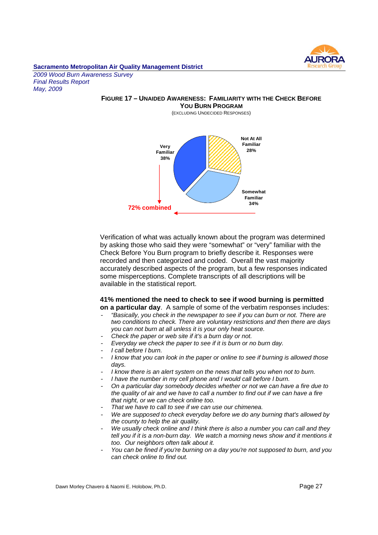

*2009 Wood Burn Awareness Survey Final Results Report May, 2009*

#### **FIGURE 17 – UNAIDED AWARENESS: FAMILIARITY WITH THE CHECK BEFORE YOU BURN PROGRAM**

(EXCLUDING UNDECIDED RESPONSES)



Verification of what was actually known about the program was determined by asking those who said they were "somewhat" or "very" familiar with the Check Before You Burn program to briefly describe it. Responses were recorded and then categorized and coded. Overall the vast majority accurately described aspects of the program, but a few responses indicated some misperceptions. Complete transcripts of all descriptions will be available in the statistical report.

#### **41% mentioned the need to check to see if wood burning is permitted on a particular day**. A sample of some of the verbatim responses includes:

- *"Basically, you check in the newspaper to see if you can burn or not. There are two conditions to check. There are voluntary restrictions and then there are days you can not burn at all unless it is your only heat source.*
- *Check the paper or web site if it's a burn day or not.*
- *Everyday we check the paper to see if it is burn or no burn day.*
- *I call before I burn.*
- *I know that you can look in the paper or online to see if burning is allowed those days.*
- *I know there is an alert system on the news that tells you when not to burn.*
- *I have the number in my cell phone and I would call before I burn.*
- *On a particular day somebody decides whether or not we can have a fire due to the quality of air and we have to call a number to find out if we can have a fire that night, or we can check online too.*
- *That we have to call to see if we can use our chimenea.*
- *We are supposed to check everyday before we do any burning that's allowed by the county to help the air quality.*
- *We usually check online and I think there is also a number you can call and they tell you if it is a non-burn day. We watch a morning news show and it mentions it too. Our neighbors often talk about it.*
- *You can be fined if you're burning on a day you're not supposed to burn, and you can check online to find out.*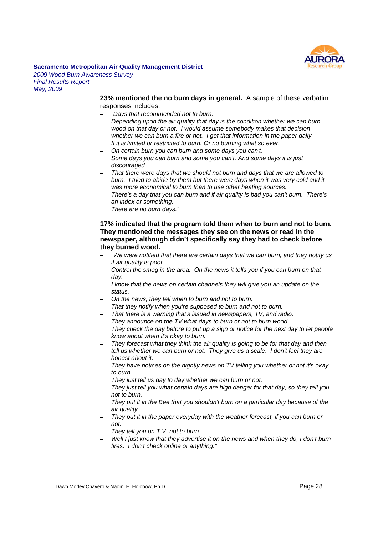# AL **IRO**

#### **Sacramento Metropolitan Air Quality Management District**

*2009 Wood Burn Awareness Survey Final Results Report May, 2009*

> **23% mentioned the no burn days in general.** A sample of these verbatim responses includes:

- *"Days that recommended not to burn.*
- *Depending upon the air quality that day is the condition whether we can burn wood on that day or not. I would assume somebody makes that decision whether we can burn a fire or not. I get that information in the paper daily.*
- *If it is limited or restricted to burn. Or no burning what so ever.*
- *On certain burn you can burn and some days you can't.*
- ш. *Some days you can burn and some you can't. And some days it is just discouraged.*
- *That there were days that we should not burn and days that we are allowed to burn. I tried to abide by them but there were days when it was very cold and it was more economical to burn than to use other heating sources.*
- *There's a day that you can burn and if air quality is bad you can't burn. There's an index or something.*
- *There are no burn days."*

#### **17% indicated that the program told them when to burn and not to burn. They mentioned the messages they see on the news or read in the newspaper, although didn't specifically say they had to check before they burned wood.**

- *"We were notified that there are certain days that we can burn, and they notify us if air quality is poor.*
- *Control the smog in the area. On the news it tells you if you can burn on that day.*
- *I know that the news on certain channels they will give you an update on the status.*
- *On the news, they tell when to burn and not to burn.*
- *That they notify when you're supposed to burn and not to burn.*
- *That there is a warning that's issued in newspapers, TV, and radio.*
- *They announce on the TV what days to burn or not to burn wood.*
- *They check the day before to put up a sign or notice for the next day to let people know about when it's okay to burn.*
- $\sim$ *They forecast what they think the air quality is going to be for that day and then tell us whether we can burn or not. They give us a scale. I don't feel they are honest about it.*
- *They have notices on the nightly news on TV telling you whether or not it's okay to burn.*
- *They just tell us day to day whether we can burn or not.*
- *They just tell you what certain days are high danger for that day, so they tell you not to burn.*
- *They put it in the Bee that you shouldn't burn on a particular day because of the air quality.*
- *They put it in the paper everyday with the weather forecast, if you can burn or not.*
- *They tell you on T.V. not to burn.*
- *Well I just know that they advertise it on the news and when they do, I don't burn fires. I don't check online or anything."*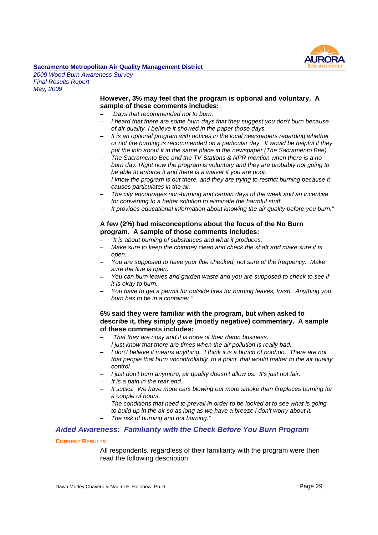

*2009 Wood Burn Awareness Survey Final Results Report May, 2009*

#### **However, 3% may feel that the program is optional and voluntary. A sample of these comments includes:**

- *"Days that recommended not to burn.*
- *I heard that there are some burn days that they suggest you don't burn because of air quality. I believe it showed in the paper those days.*
- *It is an optional program with notices in the local newspapers regarding whether or not fire burning is recommended on a particular day. It would be helpful if they put the info about it in the same place in the newspaper (The Sacramento Bee).*
- *The Sacramento Bee and the TV Stations & NPR mention when there is a no burn day. Right now the program is voluntary and they are probably not going to be able to enforce it and there is a waiver if you are poor.*
- *I know the program is out there, and they are trying to restrict burning because it causes particulates in the air.*
- *The city encourages non-burning and certain days of the week and an incentive for converting to a better solution to eliminate the harmful stuff.*
- *It provides educational information about knowing the air quality before you burn."*

#### **A few (2%) had misconceptions about the focus of the No Burn program. A sample of those comments includes:**

- *"It is about burning of substances and what it produces.*
- *Make sure to keep the chimney clean and check the shaft and make sure it is* a. *open.*
- *You are supposed to have your flue checked, not sure of the frequency. Make sure the flue is open.*
- *You can burn leaves and garden waste and you are supposed to check to see if it is okay to burn.*
- *You have to get a permit for outside fires for burning leaves, trash. Anything you burn has to be in a container."*

#### **6% said they were familiar with the program, but when asked to describe it, they simply gave (mostly negative) commentary. A sample of these comments includes:**

- *"That they are nosy and it is none of their damn business.*
- $\mathbf{r}$ *I just know that there are times when the air pollution is really bad.*
- *I don't believe it means anything. I think it is a bunch of boohoo. There are not that people that burn uncontrollably, to a point that would matter to the air quality control.*
- *I just don't burn anymore, air quality doesn't allow us. It's just not fair.*
- *It is a pain in the rear end.*
- *It sucks. We have more cars blowing out more smoke than fireplaces burning for a couple of hours.*
- *The conditions that need to prevail in order to be looked at to see what is going to build up in the air so as long as we have a breeze i don't worry about it.*
- *The risk of burning and not burning."*

#### *Aided Awareness: Familiarity with the Check Before You Burn Program*

#### **CURRENT RESULTS**

All respondents, regardless of their familiarity with the program were then read the following description: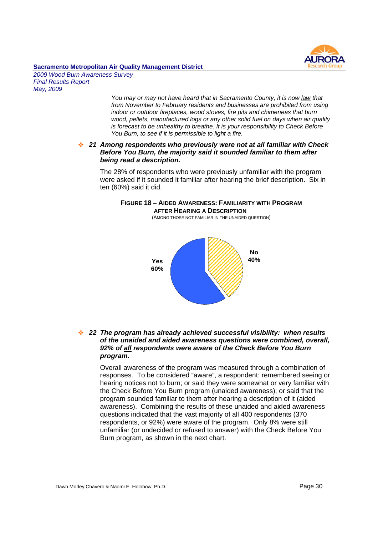# AI IROI

#### **Sacramento Metropolitan Air Quality Management District**

*2009 Wood Burn Awareness Survey Final Results Report May, 2009*

> *You may or may not have heard that in Sacramento County, it is now law that from November to February residents and businesses are prohibited from using indoor or outdoor fireplaces, wood stoves, fire pits and chimeneas that burn wood, pellets, manufactured logs or any other solid fuel on days when air quality is forecast to be unhealthy to breathe. It is your responsibility to Check Before You Burn, to see if it is permissible to light a fire.*

#### *21 Among respondents who previously were not at all familiar with Check Before You Burn, the majority said it sounded familiar to them after being read a description.*

The 28% of respondents who were previously unfamiliar with the program were asked if it sounded it familiar after hearing the brief description. Six in ten (60%) said it did.

#### **FIGURE 18 – AIDED AWARENESS: FAMILIARITY WITH PROGRAM AFTER HEARING A DESCRIPTION**

(AMONG THOSE NOT FAMILIAR IN THE UNAIDED QUESTION)



#### *22 The program has already achieved successful visibility: when results of the unaided and aided awareness questions were combined, overall, 92% of all respondents were aware of the Check Before You Burn program.*

Overall awareness of the program was measured through a combination of responses. To be considered "aware", a respondent: remembered seeing or hearing notices not to burn; or said they were somewhat or very familiar with the Check Before You Burn program (unaided awareness); or said that the program sounded familiar to them after hearing a description of it (aided awareness). Combining the results of these unaided and aided awareness questions indicated that the vast majority of all 400 respondents (370 respondents, or 92%) were aware of the program. Only 8% were still unfamiliar (or undecided or refused to answer) with the Check Before You Burn program, as shown in the next chart.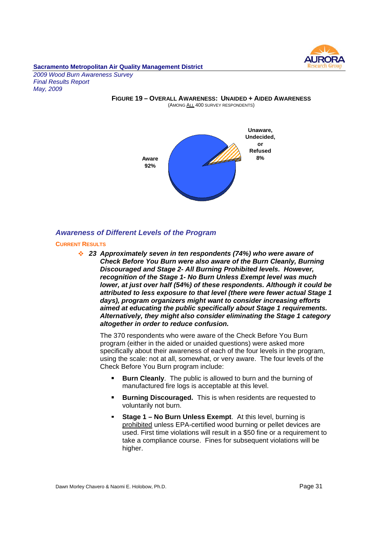

*2009 Wood Burn Awareness Survey Final Results Report May, 2009*

> **FIGURE 19 – OVERALL AWARENESS: UNAIDED + AIDED AWARENESS** (AMONG ALL 400 SURVEY RESPONDENTS)



#### *Awareness of Different Levels of the Program*

#### **CURRENT RESULTS**

*23 Approximately seven in ten respondents (74%) who were aware of Check Before You Burn were also aware of the Burn Cleanly, Burning Discouraged and Stage 2- All Burning Prohibited levels. However, recognition of the Stage 1- No Burn Unless Exempt level was much lower, at just over half (54%) of these respondents. Although it could be attributed to less exposure to that level (there were fewer actual Stage 1 days), program organizers might want to consider increasing efforts aimed at educating the public specifically about Stage 1 requirements. Alternatively, they might also consider eliminating the Stage 1 category altogether in order to reduce confusion.*

The 370 respondents who were aware of the Check Before You Burn program (either in the aided or unaided questions) were asked more specifically about their awareness of each of the four levels in the program, using the scale: not at all, somewhat, or very aware. The four levels of the Check Before You Burn program include:

- **Burn Cleanly**. The public is allowed to burn and the burning of manufactured fire logs is acceptable at this level.
- **Burning Discouraged.** This is when residents are requested to  $\blacksquare$ voluntarily not burn.
- **Stage 1 No Burn Unless Exempt**. At this level, burning is prohibited unless EPA-certified wood burning or pellet devices are used. First time violations will result in a \$50 fine or a requirement to take a compliance course. Fines for subsequent violations will be higher.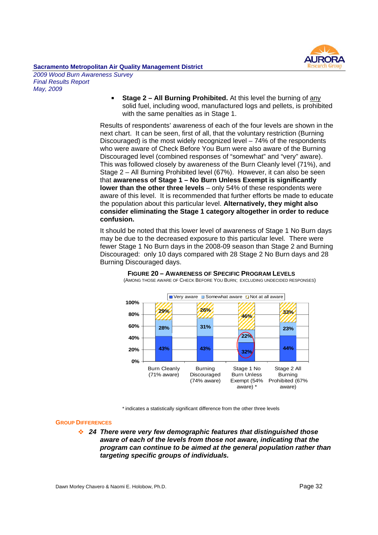

*2009 Wood Burn Awareness Survey Final Results Report May, 2009*

> **Stage 2 – All Burning Prohibited.** At this level the burning of any  $\blacksquare$ solid fuel, including wood, manufactured logs and pellets, is prohibited with the same penalties as in Stage 1.

Results of respondents' awareness of each of the four levels are shown in the next chart. It can be seen, first of all, that the voluntary restriction (Burning Discouraged) is the most widely recognized level – 74% of the respondents who were aware of Check Before You Burn were also aware of the Burning Discouraged level (combined responses of "somewhat" and "very" aware). This was followed closely by awareness of the Burn Cleanly level (71%), and Stage 2 – All Burning Prohibited level (67%). However, it can also be seen that **awareness of Stage 1 – No Burn Unless Exempt is significantly lower than the other three levels** – only 54% of these respondents were aware of this level. It is recommended that further efforts be made to educate the population about this particular level. **Alternatively, they might also consider eliminating the Stage 1 category altogether in order to reduce confusion.**

It should be noted that this lower level of awareness of Stage 1 No Burn days may be due to the decreased exposure to this particular level. There were fewer Stage 1 No Burn days in the 2008-09 season than Stage 2 and Burning Discouraged: only 10 days compared with 28 Stage 2 No Burn days and 28 Burning Discouraged days.



**FIGURE 20 – AWARENESS OF SPECIFIC PROGRAM LEVELS** (AMONG THOSE AWARE OF CHECK BEFORE YOU BURN; EXCLUDING UNDECIDED RESPONSES)

\* indicates a statistically significant difference from the other three levels

#### **GROUP DIFFERENCES**

*24 There were very few demographic features that distinguished those aware of each of the levels from those not aware, indicating that the program can continue to be aimed at the general population rather than targeting specific groups of individuals.*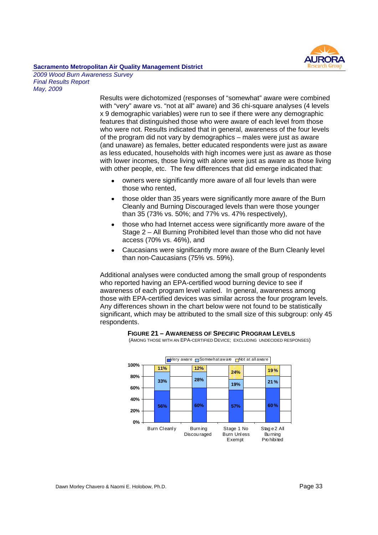

*2009 Wood Burn Awareness Survey Final Results Report May, 2009*

> Results were dichotomized (responses of "somewhat" aware were combined with "very" aware vs. "not at all" aware) and 36 chi-square analyses (4 levels x 9 demographic variables) were run to see if there were any demographic features that distinguished those who were aware of each level from those who were not. Results indicated that in general, awareness of the four levels of the program did not vary by demographics – males were just as aware (and unaware) as females, better educated respondents were just as aware as less educated, households with high incomes were just as aware as those with lower incomes, those living with alone were just as aware as those living with other people, etc. The few differences that did emerge indicated that:

- owners were significantly more aware of all four levels than were those who rented,
- those older than 35 years were significantly more aware of the Burn Cleanly and Burning Discouraged levels than were those younger than 35 (73% vs. 50%; and 77% vs. 47% respectively),
- those who had Internet access were significantly more aware of the Stage 2 – All Burning Prohibited level than those who did not have access (70% vs. 46%), and
- Caucasians were significantly more aware of the Burn Cleanly level than non-Caucasians (75% vs. 59%).

Additional analyses were conducted among the small group of respondents who reported having an EPA-certified wood burning device to see if awareness of each program level varied. In general, awareness among those with EPA-certified devices was similar across the four program levels. Any differences shown in the chart below were not found to be statistically significant, which may be attributed to the small size of this subgroup: only 45 respondents.



**FIGURE 21 – AWARENESS OF SPECIFIC PROGRAM LEVELS**

(AMONG THOSE WITH AN EPA-CERTIFIED DEVICE; EXCLUDING UNDECIDED RESPONSES)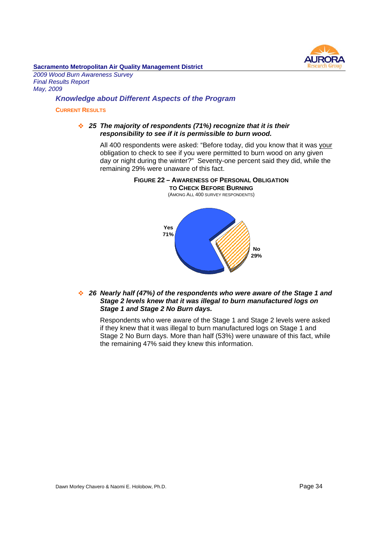

*2009 Wood Burn Awareness Survey Final Results Report May, 2009*

#### *Knowledge about Different Aspects of the Program*

#### **CURRENT RESULTS**

#### *25 The majority of respondents (71%) recognize that it is their responsibility to see if it is permissible to burn wood.*

All 400 respondents were asked: "Before today, did you know that it was your obligation to check to see if you were permitted to burn wood on any given day or night during the winter?" Seventy-one percent said they did, while the remaining 29% were unaware of this fact.



#### *26 Nearly half (47%) of the respondents who were aware of the Stage 1 and Stage 2 levels knew that it was illegal to burn manufactured logs on Stage 1 and Stage 2 No Burn days.*

Respondents who were aware of the Stage 1 and Stage 2 levels were asked if they knew that it was illegal to burn manufactured logs on Stage 1 and Stage 2 No Burn days. More than half (53%) were unaware of this fact, while the remaining 47% said they knew this information.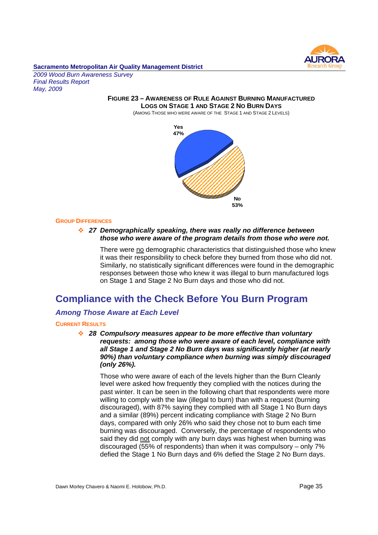

*2009 Wood Burn Awareness Survey Final Results Report May, 2009*

> **FIGURE 23 – AWARENESS OF RULE AGAINST BURNING MANUFACTURED LOGS ON STAGE 1 AND STAGE 2 NO BURN DAYS** (AMONG THOSE WHO WERE AWARE OF THE STAGE 1 AND STAGE 2 LEVELS)



#### **GROUP DIFFERENCES**

*27 Demographically speaking, there was really no difference between those who were aware of the program details from those who were not.*

There were no demographic characteristics that distinguished those who knew it was their responsibility to check before they burned from those who did not. Similarly, no statistically significant differences were found in the demographic responses between those who knew it was illegal to burn manufactured logs on Stage 1 and Stage 2 No Burn days and those who did not.

## **Compliance with the Check Before You Burn Program**

#### *Among Those Aware at Each Level*

#### **CURRENT RESULTS**

*28 Compulsory measures appear to be more effective than voluntary requests: among those who were aware of each level, compliance with all Stage 1 and Stage 2 No Burn days was significantly higher (at nearly 90%) than voluntary compliance when burning was simply discouraged (only 26%).*

Those who were aware of each of the levels higher than the Burn Cleanly level were asked how frequently they complied with the notices during the past winter. It can be seen in the following chart that respondents were more willing to comply with the law (illegal to burn) than with a request (burning discouraged), with 87% saying they complied with all Stage 1 No Burn days and a similar (89%) percent indicating compliance with Stage 2 No Burn days, compared with only 26% who said they chose not to burn each time burning was discouraged. Conversely, the percentage of respondents who said they did not comply with any burn days was highest when burning was discouraged (55% of respondents) than when it was compulsory – only 7% defied the Stage 1 No Burn days and 6% defied the Stage 2 No Burn days.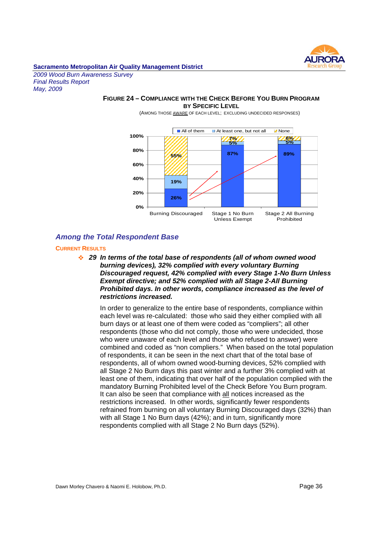

*2009 Wood Burn Awareness Survey Final Results Report May, 2009*

#### **FIGURE 24 – COMPLIANCE WITH THE CHECK BEFORE YOU BURN PROGRAM BY SPECIFIC LEVEL**



(AMONG THOSE AWARE OF EACH LEVEL; EXCLUDING UNDECIDED RESPONSES)

#### *Among the Total Respondent Base*

#### **CURRENT RESULTS**

*29 In terms of the total base of respondents (all of whom owned wood burning devices), 32% complied with every voluntary Burning Discouraged request, 42% complied with every Stage 1-No Burn Unless Exempt directive; and 52% complied with all Stage 2-All Burning Prohibited days. In other words, compliance increased as the level of restrictions increased.*

In order to generalize to the entire base of respondents, compliance within each level was re-calculated: those who said they either complied with all burn days or at least one of them were coded as "compliers"; all other respondents (those who did not comply, those who were undecided, those who were unaware of each level and those who refused to answer) were combined and coded as "non compliers." When based on the total population of respondents, it can be seen in the next chart that of the total base of respondents, all of whom owned wood-burning devices, 52% complied with all Stage 2 No Burn days this past winter and a further 3% complied with at least one of them, indicating that over half of the population complied with the mandatory Burning Prohibited level of the Check Before You Burn program. It can also be seen that compliance with all notices increased as the restrictions increased. In other words, significantly fewer respondents refrained from burning on all voluntary Burning Discouraged days (32%) than with all Stage 1 No Burn days (42%); and in turn, significantly more respondents complied with all Stage 2 No Burn days (52%).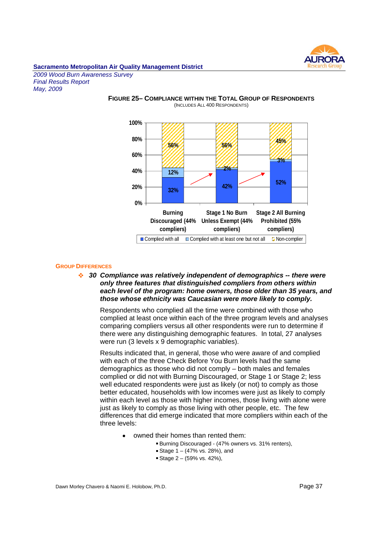

*2009 Wood Burn Awareness Survey Final Results Report May, 2009*



#### **FIGURE 25– COMPLIANCE WITHIN THE TOTAL GROUP OF RESPONDENTS** (INCLUDES ALL 400 RESPONDENTS)

#### **GROUP DIFFERENCES**

*30 Compliance was relatively independent of demographics -- there were only three features that distinguished compliers from others within each level of the program: home owners, those older than 35 years, and those whose ethnicity was Caucasian were more likely to comply.*

Respondents who complied all the time were combined with those who complied at least once within each of the three program levels and analyses comparing compliers versus all other respondents were run to determine if there were any distinguishing demographic features. In total, 27 analyses were run (3 levels x 9 demographic variables).

Results indicated that, in general, those who were aware of and complied with each of the three Check Before You Burn levels had the same demographics as those who did not comply – both males and females complied or did not with Burning Discouraged, or Stage 1 or Stage 2; less well educated respondents were just as likely (or not) to comply as those better educated, households with low incomes were just as likely to comply within each level as those with higher incomes, those living with alone were just as likely to comply as those living with other people, etc. The few differences that did emerge indicated that more compliers within each of the three levels:

- owned their homes than rented them:
	- Burning Discouraged (47% owners vs. 31% renters),
		- Stage  $1 (47\% \text{ vs. } 28\%),$  and
		- Stage  $2 (59\% \text{ vs. } 42\%).$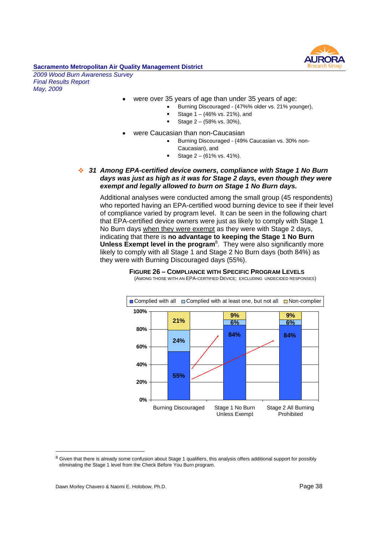

*2009 Wood Burn Awareness Survey Final Results Report May, 2009*

- were over 35 years of age than under 35 years of age:
	- Burning Discouraged (47%% older vs. 21% younger),
	- Stage 1 (46% vs. 21%), and
	- Stage 2 (58% vs. 30%),  $\blacksquare$
	- were Caucasian than non-Caucasian
		- Burning Discouraged (49% Caucasian vs. 30% non-Caucasian), and
			- Stage 2 (61% vs. 41%).
- *31 Among EPA-certified device owners, compliance with Stage 1 No Burn days was just as high as it was for Stage 2 days, even though they were exempt and legally allowed to burn on Stage 1 No Burn days.*

Additional analyses were conducted among the small group (45 respondents) who reported having an EPA-certified wood burning device to see if their level of compliance varied by program level. It can be seen in the following chart that EPA-certified device owners were just as likely to comply with Stage 1 No Burn days when they were exempt as they were with Stage 2 days, indicating that there is **no advantage to keeping the Stage 1 No Burn** Unless Exempt level in the program<sup>8</sup>. They were also significantly more likely to comply with all Stage 1 and Stage 2 No Burn days (both 84%) as they were with Burning Discouraged days (55%).



**FIGURE 26 – COMPLIANCE WITH SPECIFIC PROGRAM LEVELS** (AMONG THOSE WITH AN EPA-CERTIFIED DEVICE; EXCLUDING UNDECIDED RESPONSES)

<sup>&</sup>lt;sup>8</sup> Given that there is already some confusion about Stage 1 qualifiers, this analysis offers additional support for possibly eliminating the Stage 1 level from the Check Before You Burn program.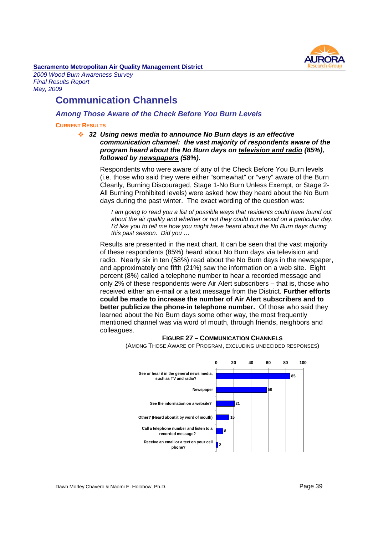

*2009 Wood Burn Awareness Survey Final Results Report May, 2009*

## **Communication Channels**

#### *Among Those Aware of the Check Before You Burn Levels*

#### **CURRENT RESULTS**

*32 Using news media to announce No Burn days is an effective communication channel: the vast majority of respondents aware of the program heard about the No Burn days on television and radio (85%), followed by newspapers (58%).*

Respondents who were aware of any of the Check Before You Burn levels (i.e. those who said they were either "somewhat" or "very" aware of the Burn Cleanly, Burning Discouraged, Stage 1-No Burn Unless Exempt, or Stage 2- All Burning Prohibited levels) were asked how they heard about the No Burn days during the past winter. The exact wording of the question was:

*I am going to read you a list of possible ways that residents could have found out about the air quality and whether or not they could burn wood on a particular day. I'd like you to tell me how you might have heard about the No Burn days during this past season. Did you …*

Results are presented in the next chart. It can be seen that the vast majority of these respondents (85%) heard about No Burn days via television and radio. Nearly six in ten (58%) read about the No Burn days in the newspaper, and approximately one fifth (21%) saw the information on a web site. Eight percent (8%) called a telephone number to hear a recorded message and only 2% of these respondents were Air Alert subscribers – that is, those who received either an e-mail or a text message from the District. **Further efforts could be made to increase the number of Air Alert subscribers and to better publicize the phone-in telephone number.** Of those who said they learned about the No Burn days some other way, the most frequently mentioned channel was via word of mouth, through friends, neighbors and colleagues.



**FIGURE 27 – COMMUNICATION CHANNELS** (AMONG THOSE AWARE OF PROGRAM, EXCLUDING UNDECIDED RESPONSES)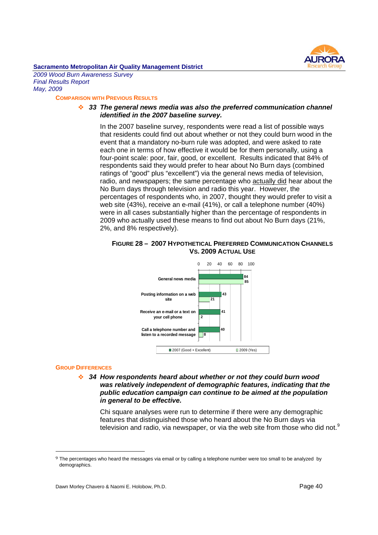

*2009 Wood Burn Awareness Survey Final Results Report May, 2009*

#### **COMPARISON WITH PREVIOUS RESULTS**

#### *33 The general news media was also the preferred communication channel identified in the 2007 baseline survey.*

In the 2007 baseline survey, respondents were read a list of possible ways that residents could find out about whether or not they could burn wood in the event that a mandatory no-burn rule was adopted, and were asked to rate each one in terms of how effective it would be for them personally, using a four-point scale: poor, fair, good, or excellent. Results indicated that 84% of respondents said they would prefer to hear about No Burn days (combined ratings of "good" plus "excellent") via the general news media of television, radio, and newspapers; the same percentage who actually did hear about the No Burn days through television and radio this year. However, the percentages of respondents who, in 2007, thought they would prefer to visit a web site (43%), receive an e-mail (41%), or call a telephone number (40%) were in all cases substantially higher than the percentage of respondents in 2009 who actually used these means to find out about No Burn days (21%, 2%, and 8% respectively).

#### **FIGURE 28 – 2007 HYPOTHETICAL PREFERRED COMMUNICATION CHANNELS VS. 2009 ACTUAL USE**



#### **GROUP DIFFERENCES**

*34 How respondents heard about whether or not they could burn wood was relatively independent of demographic features, indicating that the public education campaign can continue to be aimed at the population in general to be effective.*

Chi square analyses were run to determine if there were any demographic features that distinguished those who heard about the No Burn days via television and radio, via newspaper, or via the web site from those who did not.<sup>9</sup>

<sup>9</sup> The percentages who heard the messages via email or by calling a telephone number were too small to be analyzed by demographics.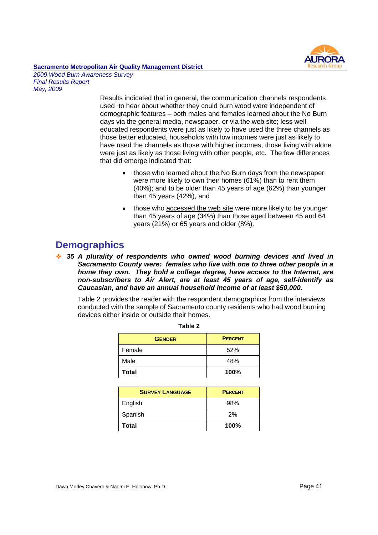

*2009 Wood Burn Awareness Survey Final Results Report May, 2009*

> Results indicated that in general, the communication channels respondents used to hear about whether they could burn wood were independent of demographic features – both males and females learned about the No Burn days via the general media, newspaper, or via the web site; less well educated respondents were just as likely to have used the three channels as those better educated, households with low incomes were just as likely to have used the channels as those with higher incomes, those living with alone were just as likely as those living with other people, etc. The few differences that did emerge indicated that:

- those who learned about the No Burn days from the newspaper were more likely to own their homes (61%) than to rent them (40%); and to be older than 45 years of age (62%) than younger than 45 years (42%), and
- those who accessed the web site were more likely to be younger than 45 years of age (34%) than those aged between 45 and 64 years (21%) or 65 years and older (8%).

## **Demographics**

*35 A plurality of respondents who owned wood burning devices and lived in Sacramento County were: females who live with one to three other people in a home they own. They hold a college degree, have access to the Internet, are non-subscribers to Air Alert, are at least 45 years of age, self-identify as Caucasian, and have an annual household income of at least \$50,000.*

Table 2 provides the reader with the respondent demographics from the interviews conducted with the sample of Sacramento county residents who had wood burning devices either inside or outside their homes.

| <b>GENDER</b> | <b>PERCENT</b> |
|---------------|----------------|
| Female        | 52%            |
| Male          | 48%            |
| <b>Total</b>  | 100%           |

| <b>SURVEY LANGUAGE</b> | <b>PERCENT</b> |
|------------------------|----------------|
| English                | 98%            |
| Spanish                | 2%             |
| <b>Total</b>           | 100%           |

| Table |  |
|-------|--|
|-------|--|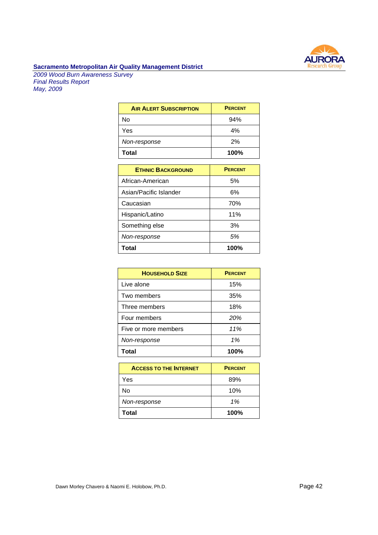

*2009 Wood Burn Awareness Survey Final Results Report May, 2009*

| <b>AIR ALERT SUBSCRIPTION</b> | <b>PERCENT</b> |
|-------------------------------|----------------|
| No                            | 94%            |
| Yes                           | 4%             |
| Non-response                  | 2%             |
| <b>Total</b>                  | 100%           |

| <b>ETHNIC BACKGROUND</b> | <b>PERCENT</b> |
|--------------------------|----------------|
| African-American         | 5%             |
| Asian/Pacific Islander   | 6%             |
| Caucasian                | 70%            |
| Hispanic/Latino          | 11%            |
| Something else           | 3%             |
| Non-response             | 5%             |
| <b>Total</b>             | 100%           |

| <b>HOUSEHOLD SIZE</b> | <b>PERCENT</b> |
|-----------------------|----------------|
| Live alone            | 15%            |
| Two members           | 35%            |
| Three members         | 18%            |
| Four members          | 20%            |
| Five or more members  | 11%            |
| Non-response          | 1%             |
| Total                 | 100%           |

| <b>ACCESS TO THE INTERNET</b> | <b>PERCENT</b> |
|-------------------------------|----------------|
| Yes                           | 89%            |
| Nο                            | 10%            |
| Non-response                  | 1%             |
| <b>Total</b>                  | 100%           |